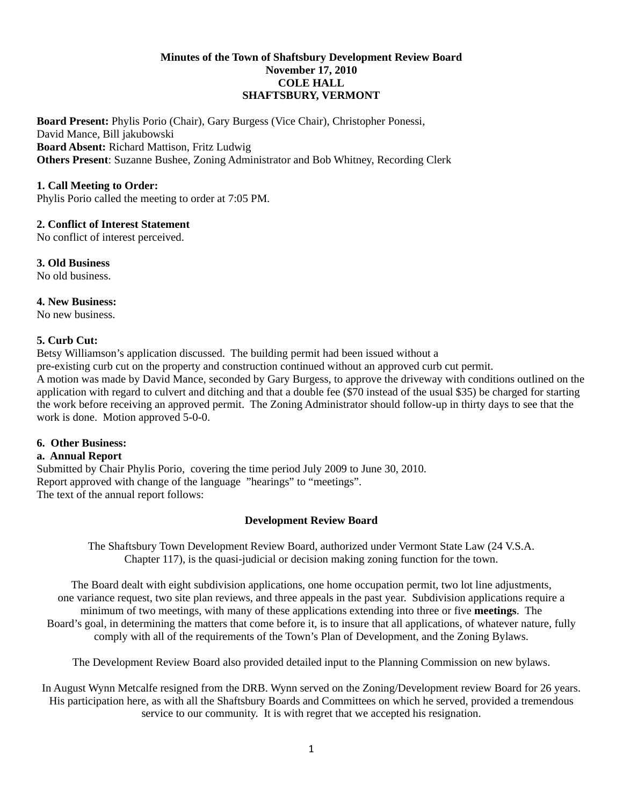### **Minutes of the Town of Shaftsbury Development Review Board November 17, 2010 COLE HALL SHAFTSBURY, VERMONT**

**Board Present:** Phylis Porio (Chair), Gary Burgess (Vice Chair), Christopher Ponessi, David Mance, Bill jakubowski **Board Absent:** Richard Mattison, Fritz Ludwig **Others Present**: Suzanne Bushee, Zoning Administrator and Bob Whitney, Recording Clerk

## **1. Call Meeting to Order:**

Phylis Porio called the meeting to order at 7:05 PM.

## **2. Conflict of Interest Statement**

No conflict of interest perceived.

**3. Old Business** No old business.

### **4. New Business:**

No new business.

## **5. Curb Cut:**

Betsy Williamson's application discussed. The building permit had been issued without a pre-existing curb cut on the property and construction continued without an approved curb cut permit. A motion was made by David Mance, seconded by Gary Burgess, to approve the driveway with conditions outlined on the application with regard to culvert and ditching and that a double fee (\$70 instead of the usual \$35) be charged for starting the work before receiving an approved permit. The Zoning Administrator should follow-up in thirty days to see that the work is done. Motion approved 5-0-0.

#### **6. Other Business:**

#### **a. Annual Report**

Submitted by Chair Phylis Porio, covering the time period July 2009 to June 30, 2010. Report approved with change of the language "hearings" to "meetings". The text of the annual report follows:

## **Development Review Board**

The Shaftsbury Town Development Review Board, authorized under Vermont State Law (24 V.S.A. Chapter 117), is the quasi-judicial or decision making zoning function for the town.

The Board dealt with eight subdivision applications, one home occupation permit, two lot line adjustments, one variance request, two site plan reviews, and three appeals in the past year. Subdivision applications require a minimum of two meetings, with many of these applications extending into three or five **meetings**. The Board's goal, in determining the matters that come before it, is to insure that all applications, of whatever nature, fully comply with all of the requirements of the Town's Plan of Development, and the Zoning Bylaws.

The Development Review Board also provided detailed input to the Planning Commission on new bylaws.

In August Wynn Metcalfe resigned from the DRB. Wynn served on the Zoning/Development review Board for 26 years. His participation here, as with all the Shaftsbury Boards and Committees on which he served, provided a tremendous service to our community. It is with regret that we accepted his resignation.